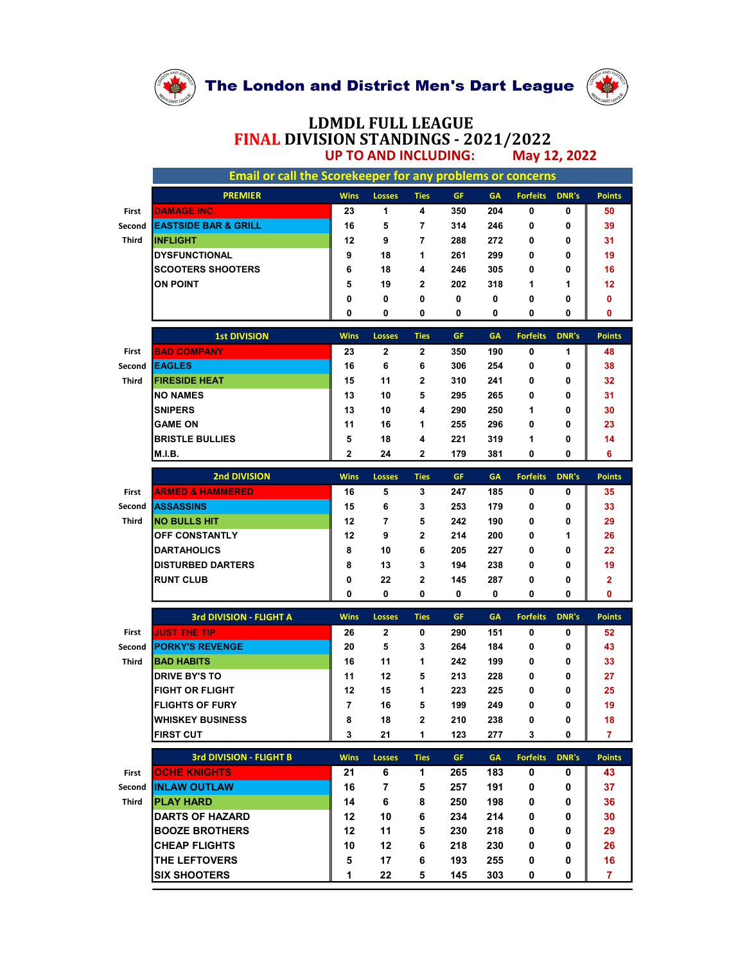

## LDMDL FULL LEAGUE FINAL DIVISION STANDINGS - 2021/2022<br>UP TO AND INCLUDING: May 12, 2022 UP TO AND INCLUDING:

|        | The London and District Men's Dart League                           |                          |                |                   |            |            |                 |              |                |  |  |  |  |
|--------|---------------------------------------------------------------------|--------------------------|----------------|-------------------|------------|------------|-----------------|--------------|----------------|--|--|--|--|
|        |                                                                     |                          |                |                   |            |            |                 |              |                |  |  |  |  |
|        |                                                                     |                          |                |                   |            |            |                 |              |                |  |  |  |  |
|        |                                                                     |                          |                |                   |            |            |                 |              |                |  |  |  |  |
|        |                                                                     |                          |                |                   |            |            |                 |              |                |  |  |  |  |
|        |                                                                     |                          |                |                   |            |            |                 |              |                |  |  |  |  |
|        |                                                                     | <b>LDMDL FULL LEAGUE</b> |                |                   |            |            |                 |              |                |  |  |  |  |
|        | FINAL DIVISION STANDINGS - 2021/2022<br><b>UP TO AND INCLUDING:</b> |                          |                |                   |            |            |                 |              |                |  |  |  |  |
|        |                                                                     |                          |                |                   |            |            | May 12, 2022    |              |                |  |  |  |  |
|        | Email or call the Scorekeeper for any problems or concerns          |                          |                |                   |            |            |                 |              |                |  |  |  |  |
|        | <b>PREMIER</b>                                                      | <b>Wins</b>              | <b>Losses</b>  | <b>Ties</b>       | GF.        | <b>GA</b>  | <b>Forfeits</b> | <b>DNR's</b> | <b>Points</b>  |  |  |  |  |
| First  | <b>DAMAGE INC.</b>                                                  | 23                       | $\mathbf{1}$   | 4                 | 350        | 204        | 0               | 0            | 50             |  |  |  |  |
| Second | <b>EASTSIDE BAR &amp; GRILL</b>                                     | 16                       | 5              | $\overline{7}$    | 314        | 246        | 0               | 0            | 39             |  |  |  |  |
| Third  | <b>INFLIGHT</b>                                                     | 12                       | 9              | $\overline{7}$    | 288        | 272        | 0               | 0            | 31             |  |  |  |  |
|        | <b>DYSFUNCTIONAL</b><br><b>SCOOTERS SHOOTERS</b>                    | 9<br>6                   | 18<br>18       | $\mathbf{1}$<br>4 | 261<br>246 | 299<br>305 | 0<br>0          | 0<br>0       | 19<br>16       |  |  |  |  |
|        | <b>ON POINT</b>                                                     | 5                        | 19             | $\mathbf{2}$      | 202        | 318        | $\mathbf{1}$    | 1            | 12             |  |  |  |  |
|        |                                                                     | 0                        | 0              | 0                 | 0          | 0          | 0               | 0            | 0              |  |  |  |  |
|        |                                                                     | 0                        | 0              | 0                 | 0          | 0          | 0               | 0            | $\mathbf 0$    |  |  |  |  |
|        | <b>1st DIVISION</b>                                                 | <b>Wins</b>              | <b>Losses</b>  | <b>Ties</b>       | GF.        | <b>GA</b>  | <b>Forfeits</b> | <b>DNR's</b> | <b>Points</b>  |  |  |  |  |
| First  | <b>BAD COMPANY</b>                                                  | 23                       | $\mathbf{2}$   | $\overline{2}$    | 350        | 190        | 0               | $\mathbf{1}$ | 48             |  |  |  |  |
| Second | <b>EAGLES</b>                                                       | 16                       | 6              | 6                 | 306        | 254        | 0               | 0            | 38             |  |  |  |  |
| Third  | <b>FIRESIDE HEAT</b><br><b>NO NAMES</b>                             | 15                       | 11             | $\mathbf{2}$      | 310        | 241        | 0               | 0            | 32             |  |  |  |  |
|        | <b>SNIPERS</b>                                                      | 13<br>13                 | 10<br>10       | 5<br>4            | 295<br>290 | 265<br>250 | 0<br>1          | 0<br>0       | 31<br>30       |  |  |  |  |
|        | <b>GAME ON</b>                                                      | 11                       | 16             | 1                 | 255        | 296        | 0               | $\mathbf 0$  | 23             |  |  |  |  |
|        | <b>BRISTLE BULLIES</b>                                              | 5                        | 18             | 4                 | 221        | 319        | $\mathbf{1}$    | 0            | 14             |  |  |  |  |
|        | M.I.B.                                                              | $\mathbf{2}$             | 24             | $\mathbf{2}$      | 179        | 381        | 0               | $\mathbf 0$  | 6              |  |  |  |  |
|        | 2nd DIVISION                                                        | <b>Wins</b>              | <b>Losses</b>  | <b>Ties</b>       | <b>GF</b>  | <b>GA</b>  | <b>Forfeits</b> | <b>DNR's</b> | <b>Points</b>  |  |  |  |  |
| First  | <b>ARMED &amp; HAMMERED</b>                                         | 16                       | 5              | $\mathbf{3}$      | 247        | 185        | 0               | 0            | 35             |  |  |  |  |
| Second | <b>ASSASSINS</b>                                                    | 15                       | 6              | 3                 | 253        | 179        | 0               | 0            | 33             |  |  |  |  |
| Third  | <b>NO BULLS HIT</b>                                                 | 12                       | $\overline{7}$ | 5                 | 242        | 190        | 0               | 0            | 29             |  |  |  |  |
|        | <b>OFF CONSTANTLY</b><br><b>DARTAHOLICS</b>                         | 12<br>8                  | 9<br>10        | $\mathbf{2}$<br>6 | 214<br>205 | 200<br>227 | 0<br>0          | 1<br>0       | 26<br>22       |  |  |  |  |
|        | <b>DISTURBED DARTERS</b>                                            | 8                        | 13             | 3                 | 194        | 238        | 0               | 0            | 19             |  |  |  |  |
|        | <b>RUNT CLUB</b>                                                    | 0                        | 22             | $\mathbf{2}$      | 145        | 287        | 0               | 0            | $\mathbf{2}$   |  |  |  |  |
|        |                                                                     | 0                        | 0              | 0                 | 0          | 0          | 0               | 0            | 0              |  |  |  |  |
|        | 3rd DIVISION - FLIGHT A                                             | <b>Wins</b>              | <b>Losses</b>  | <b>Ties</b>       | GF.        | <b>GA</b>  | <b>Forfeits</b> | <b>DNR's</b> | <b>Points</b>  |  |  |  |  |
| First  | <b>JUST THE TIP</b>                                                 | 26                       | $\mathbf{2}$   | 0                 | 290        | 151        | 0               | 0            | 52             |  |  |  |  |
| Second | <b>PORKY'S REVENGE</b>                                              | 20                       | 5              | 3                 | 264        | 184        | 0               | 0            | 43             |  |  |  |  |
| Third  | <b>BAD HABITS</b>                                                   | 16                       | 11             | $\mathbf{1}$      | 242        | 199        | 0               | 0            | 33             |  |  |  |  |
|        | <b>DRIVE BY'S TO</b><br><b>FIGHT OR FLIGHT</b>                      | 11<br>12                 | 12<br>15       | 5<br>1            | 213<br>223 | 228<br>225 | 0<br>0          | 0<br>0       | 27<br>25       |  |  |  |  |
|        | <b>FLIGHTS OF FURY</b>                                              | $\overline{7}$           | 16             | 5                 | 199        | 249        | 0               | 0            | 19             |  |  |  |  |
|        | <b>WHISKEY BUSINESS</b>                                             | 8                        | 18             | $\mathbf{2}$      | 210        | 238        | 0               | 0            | 18             |  |  |  |  |
|        | <b>FIRST CUT</b>                                                    | 3                        | 21             | 1                 | 123        | 277        | 3               | $\mathbf 0$  | $\overline{7}$ |  |  |  |  |
|        | <b>3rd DIVISION - FLIGHT B</b>                                      | <b>Wins</b>              | <b>Losses</b>  | <b>Ties</b>       | <b>GF</b>  | <b>GA</b>  | <b>Forfeits</b> | <b>DNR's</b> | <b>Points</b>  |  |  |  |  |
| First  | <b>OCHE KNIGHTS</b>                                                 | 21                       | 6              | $\mathbf{1}$      | 265        | 183        | 0               | 0            | 43             |  |  |  |  |
| Second | <b>INLAW OUTLAW</b>                                                 | 16                       | 7              | 5                 | 257        | 191        | 0               | 0            | 37             |  |  |  |  |
| Third  | <b>PLAY HARD</b><br><b>DARTS OF HAZARD</b>                          | 14<br>12                 | 6<br>10        | 8<br>6            | 250<br>234 | 198<br>214 | 0<br>0          | 0<br>0       | 36<br>30       |  |  |  |  |
|        | <b>BOOZE BROTHERS</b>                                               | 12                       | 11             | 5                 | 230        | 218        | 0               | 0            | 29             |  |  |  |  |
|        | <b>CHEAP FLIGHTS</b>                                                | 10                       | 12             | 6                 | 218        | 230        | 0               | 0            | 26             |  |  |  |  |
|        | <b>THE LEFTOVERS</b>                                                | 5                        | 17             | 6                 | 193        | 255        | 0               | 0            | 16<br>7        |  |  |  |  |
|        | <b>SIX SHOOTERS</b>                                                 | 1                        | 22             | 5                 | 145        | 303        | 0               | 0            |                |  |  |  |  |